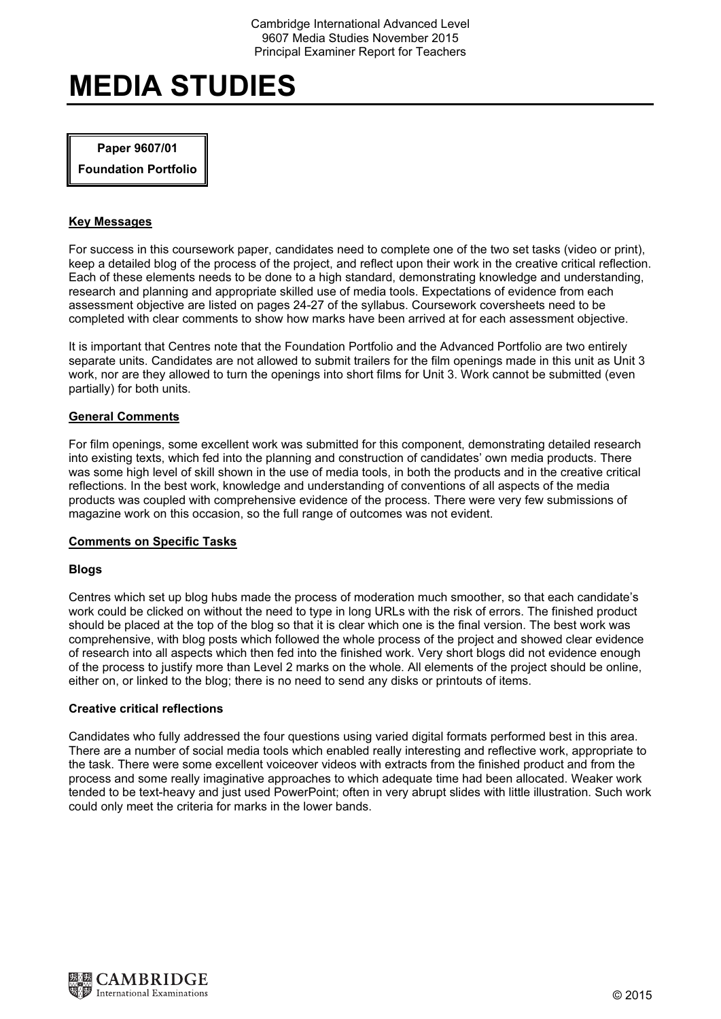# Paper 9607/01

Foundation Portfolio

# Key Messages

For success in this coursework paper, candidates need to complete one of the two set tasks (video or print), keep a detailed blog of the process of the project, and reflect upon their work in the creative critical reflection. Each of these elements needs to be done to a high standard, demonstrating knowledge and understanding, research and planning and appropriate skilled use of media tools. Expectations of evidence from each assessment objective are listed on pages 24-27 of the syllabus. Coursework coversheets need to be completed with clear comments to show how marks have been arrived at for each assessment objective.

It is important that Centres note that the Foundation Portfolio and the Advanced Portfolio are two entirely separate units. Candidates are not allowed to submit trailers for the film openings made in this unit as Unit 3 work, nor are they allowed to turn the openings into short films for Unit 3. Work cannot be submitted (even partially) for both units.

# General Comments

For film openings, some excellent work was submitted for this component, demonstrating detailed research into existing texts, which fed into the planning and construction of candidates' own media products. There was some high level of skill shown in the use of media tools, in both the products and in the creative critical reflections. In the best work, knowledge and understanding of conventions of all aspects of the media products was coupled with comprehensive evidence of the process. There were very few submissions of magazine work on this occasion, so the full range of outcomes was not evident.

#### Comments on Specific Tasks

# **Blogs**

Centres which set up blog hubs made the process of moderation much smoother, so that each candidate's work could be clicked on without the need to type in long URLs with the risk of errors. The finished product should be placed at the top of the blog so that it is clear which one is the final version. The best work was comprehensive, with blog posts which followed the whole process of the project and showed clear evidence of research into all aspects which then fed into the finished work. Very short blogs did not evidence enough of the process to justify more than Level 2 marks on the whole. All elements of the project should be online, either on, or linked to the blog; there is no need to send any disks or printouts of items.

# Creative critical reflections

Candidates who fully addressed the four questions using varied digital formats performed best in this area. There are a number of social media tools which enabled really interesting and reflective work, appropriate to the task. There were some excellent voiceover videos with extracts from the finished product and from the process and some really imaginative approaches to which adequate time had been allocated. Weaker work tended to be text-heavy and just used PowerPoint; often in very abrupt slides with little illustration. Such work could only meet the criteria for marks in the lower bands.

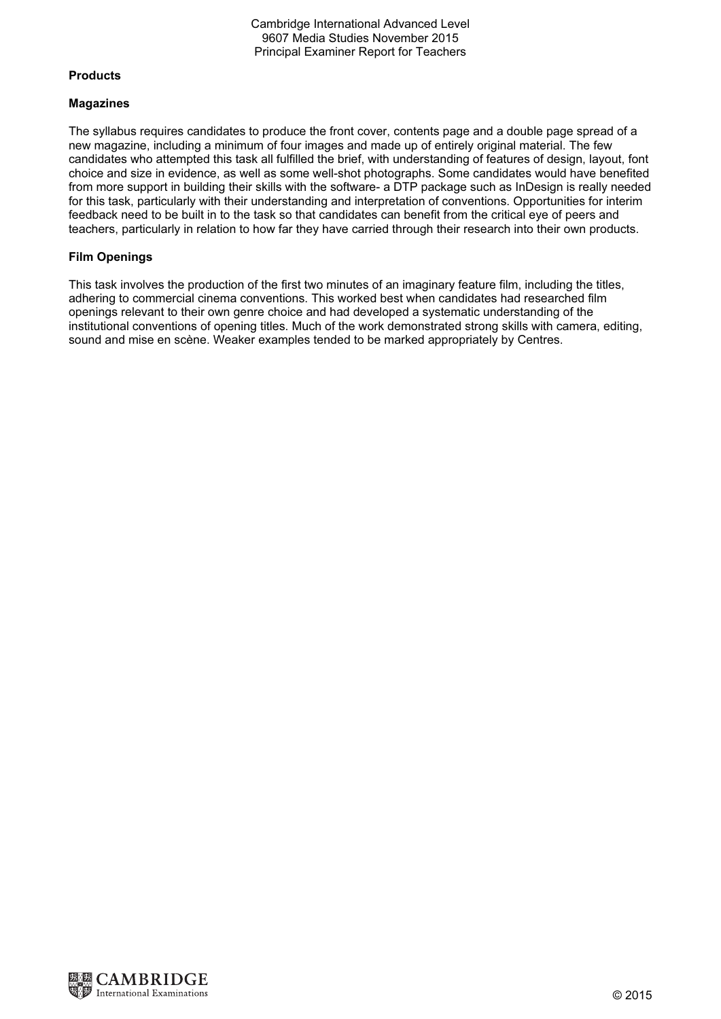# Cambridge International Advanced Level 9607 Media Studies November 2015 Principal Examiner Report for Teachers

## Products

#### Magazines

The syllabus requires candidates to produce the front cover, contents page and a double page spread of a new magazine, including a minimum of four images and made up of entirely original material. The few candidates who attempted this task all fulfilled the brief, with understanding of features of design, layout, font choice and size in evidence, as well as some well-shot photographs. Some candidates would have benefited from more support in building their skills with the software- a DTP package such as InDesign is really needed for this task, particularly with their understanding and interpretation of conventions. Opportunities for interim feedback need to be built in to the task so that candidates can benefit from the critical eye of peers and teachers, particularly in relation to how far they have carried through their research into their own products.

## Film Openings

This task involves the production of the first two minutes of an imaginary feature film, including the titles, adhering to commercial cinema conventions. This worked best when candidates had researched film openings relevant to their own genre choice and had developed a systematic understanding of the institutional conventions of opening titles. Much of the work demonstrated strong skills with camera, editing, sound and mise en scène. Weaker examples tended to be marked appropriately by Centres.

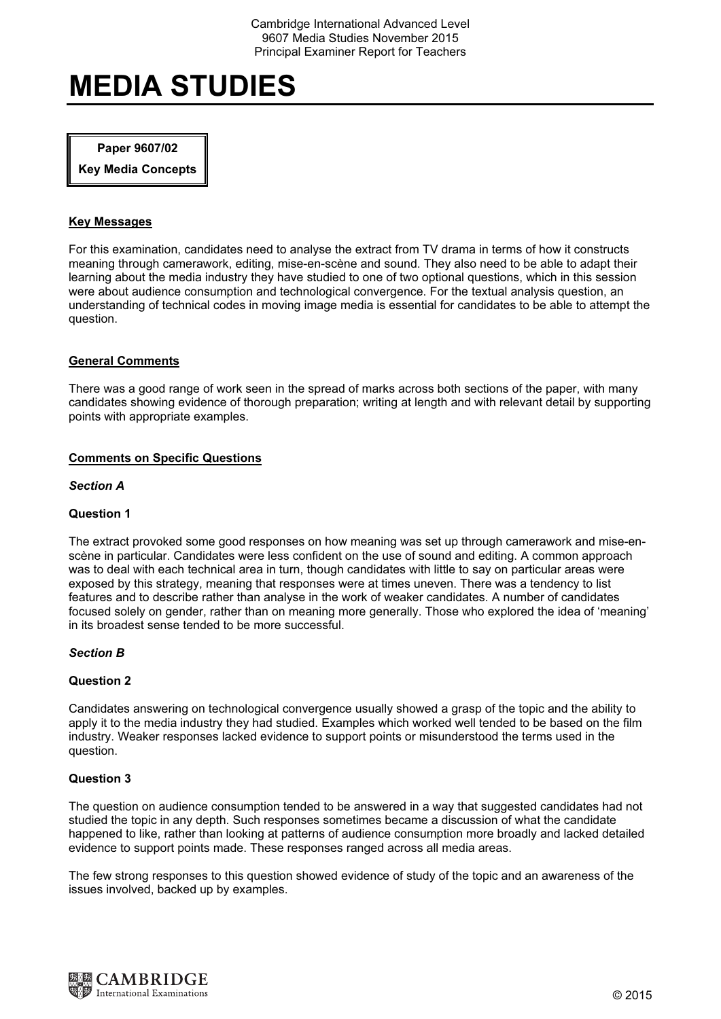# Paper 9607/02

Key Media Concepts

# Key Messages

For this examination, candidates need to analyse the extract from TV drama in terms of how it constructs meaning through camerawork, editing, mise-en-scène and sound. They also need to be able to adapt their learning about the media industry they have studied to one of two optional questions, which in this session were about audience consumption and technological convergence. For the textual analysis question, an understanding of technical codes in moving image media is essential for candidates to be able to attempt the question.

## General Comments

There was a good range of work seen in the spread of marks across both sections of the paper, with many candidates showing evidence of thorough preparation; writing at length and with relevant detail by supporting points with appropriate examples.

## Comments on Specific Questions

#### Section A

# Question 1

The extract provoked some good responses on how meaning was set up through camerawork and mise-enscène in particular. Candidates were less confident on the use of sound and editing. A common approach was to deal with each technical area in turn, though candidates with little to say on particular areas were exposed by this strategy, meaning that responses were at times uneven. There was a tendency to list features and to describe rather than analyse in the work of weaker candidates. A number of candidates focused solely on gender, rather than on meaning more generally. Those who explored the idea of 'meaning' in its broadest sense tended to be more successful.

#### Section B

#### Question 2

Candidates answering on technological convergence usually showed a grasp of the topic and the ability to apply it to the media industry they had studied. Examples which worked well tended to be based on the film industry. Weaker responses lacked evidence to support points or misunderstood the terms used in the question.

#### Question 3

The question on audience consumption tended to be answered in a way that suggested candidates had not studied the topic in any depth. Such responses sometimes became a discussion of what the candidate happened to like, rather than looking at patterns of audience consumption more broadly and lacked detailed evidence to support points made. These responses ranged across all media areas.

The few strong responses to this question showed evidence of study of the topic and an awareness of the issues involved, backed up by examples.

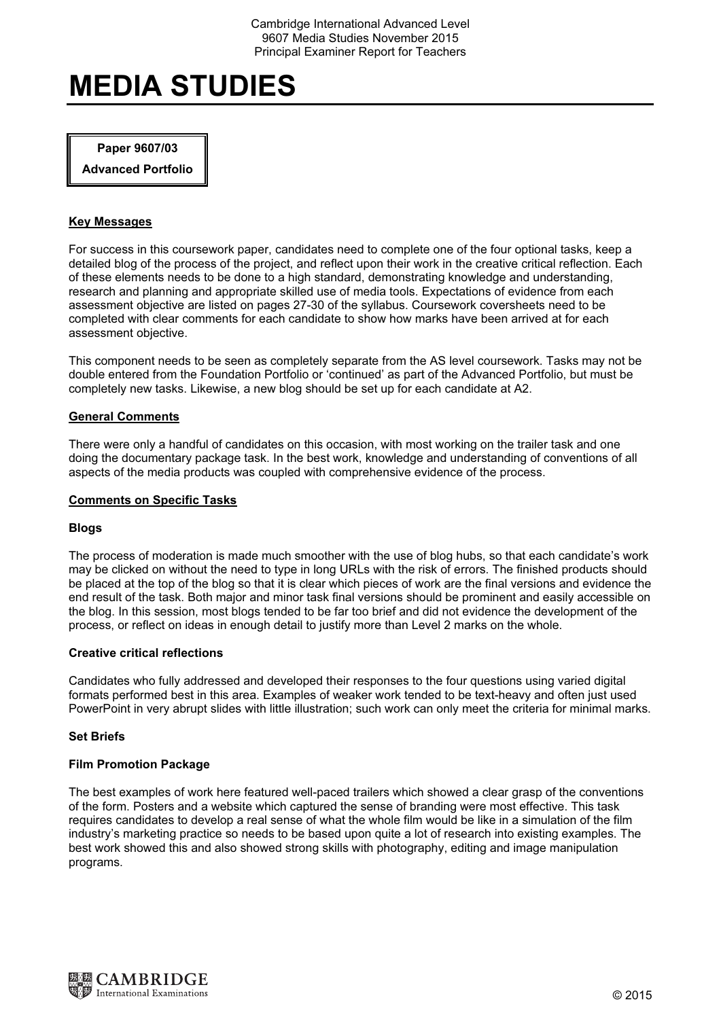# Paper 9607/03

Advanced Portfolio

# Key Messages

For success in this coursework paper, candidates need to complete one of the four optional tasks, keep a detailed blog of the process of the project, and reflect upon their work in the creative critical reflection. Each of these elements needs to be done to a high standard, demonstrating knowledge and understanding, research and planning and appropriate skilled use of media tools. Expectations of evidence from each assessment objective are listed on pages 27-30 of the syllabus. Coursework coversheets need to be completed with clear comments for each candidate to show how marks have been arrived at for each assessment objective.

This component needs to be seen as completely separate from the AS level coursework. Tasks may not be double entered from the Foundation Portfolio or 'continued' as part of the Advanced Portfolio, but must be completely new tasks. Likewise, a new blog should be set up for each candidate at A2.

#### General Comments

There were only a handful of candidates on this occasion, with most working on the trailer task and one doing the documentary package task. In the best work, knowledge and understanding of conventions of all aspects of the media products was coupled with comprehensive evidence of the process.

#### Comments on Specific Tasks

#### **Blogs**

The process of moderation is made much smoother with the use of blog hubs, so that each candidate's work may be clicked on without the need to type in long URLs with the risk of errors. The finished products should be placed at the top of the blog so that it is clear which pieces of work are the final versions and evidence the end result of the task. Both major and minor task final versions should be prominent and easily accessible on the blog. In this session, most blogs tended to be far too brief and did not evidence the development of the process, or reflect on ideas in enough detail to justify more than Level 2 marks on the whole.

#### Creative critical reflections

Candidates who fully addressed and developed their responses to the four questions using varied digital formats performed best in this area. Examples of weaker work tended to be text-heavy and often just used PowerPoint in very abrupt slides with little illustration; such work can only meet the criteria for minimal marks.

#### Set Briefs

#### Film Promotion Package

The best examples of work here featured well-paced trailers which showed a clear grasp of the conventions of the form. Posters and a website which captured the sense of branding were most effective. This task requires candidates to develop a real sense of what the whole film would be like in a simulation of the film industry's marketing practice so needs to be based upon quite a lot of research into existing examples. The best work showed this and also showed strong skills with photography, editing and image manipulation programs.

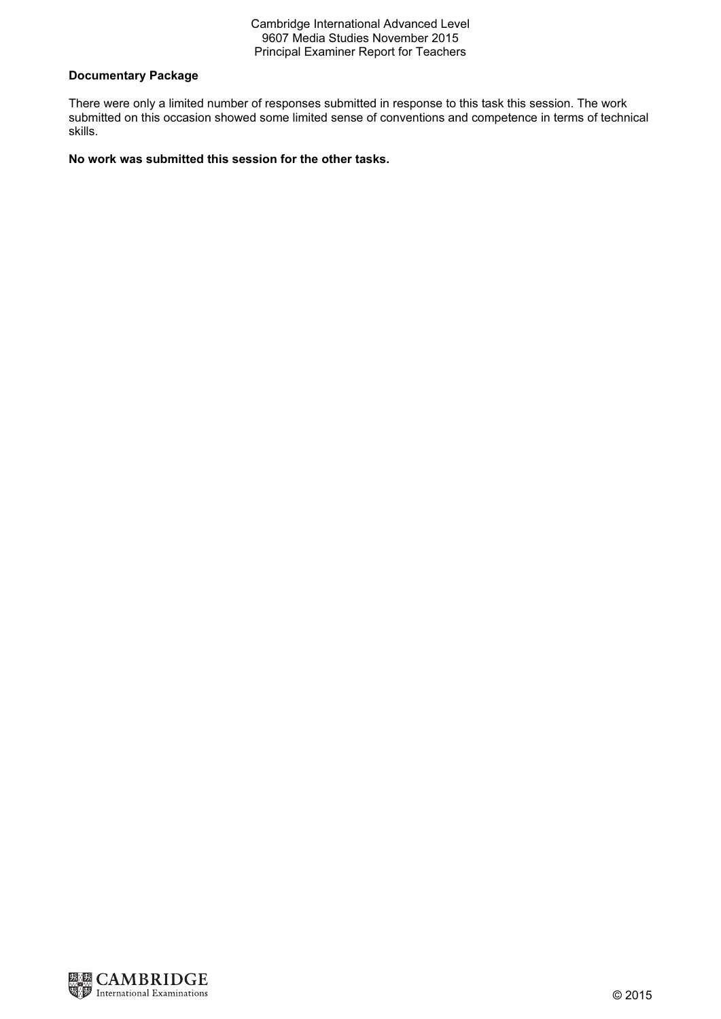## Cambridge International Advanced Level 9607 Media Studies November 2015 Principal Examiner Report for Teachers

# Documentary Package

There were only a limited number of responses submitted in response to this task this session. The work submitted on this occasion showed some limited sense of conventions and competence in terms of technical skills.

# No work was submitted this session for the other tasks.